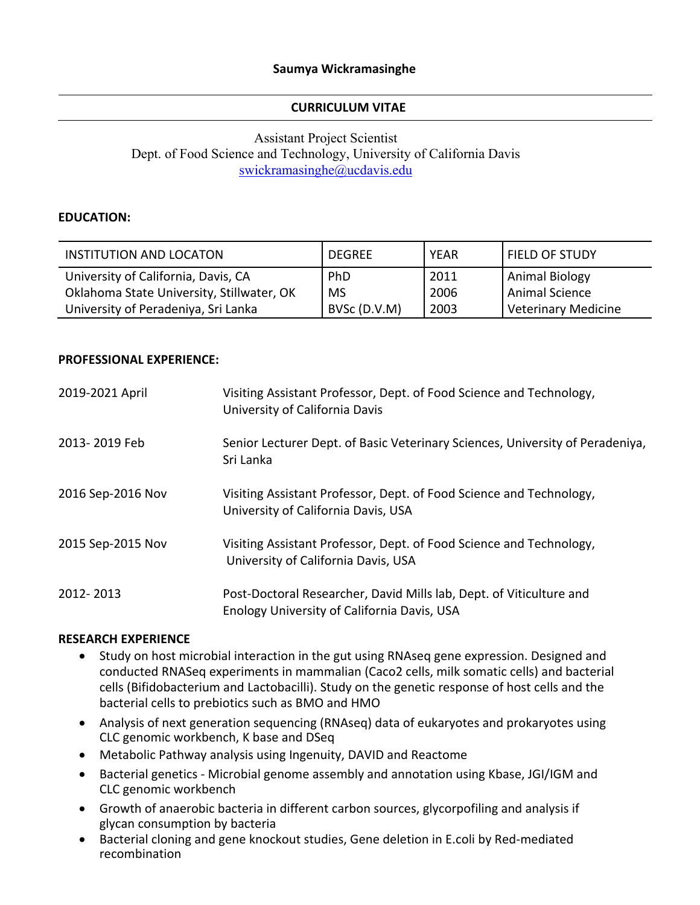### **CURRICULUM VITAE**

# Assistant Project Scientist Dept. of Food Science and Technology, University of California Davis swickramasinghe@ucdavis.edu

### **EDUCATION:**

| INSTITUTION AND LOCATON                                                          | <b>DEGREE</b>    | <b>YEAR</b>  | <b>FIELD OF STUDY</b>            |
|----------------------------------------------------------------------------------|------------------|--------------|----------------------------------|
| University of California, Davis, CA<br>Oklahoma State University, Stillwater, OK | PhD<br><b>MS</b> | 2011<br>2006 | Animal Biology<br>Animal Science |
| University of Peradeniya, Sri Lanka                                              | BVSc (D.V.M)     | 2003         | Veterinary Medicine              |

#### **PROFESSIONAL EXPERIENCE:**

| 2019-2021 April   | Visiting Assistant Professor, Dept. of Food Science and Technology,<br>University of California Davis              |
|-------------------|--------------------------------------------------------------------------------------------------------------------|
| 2013-2019 Feb     | Senior Lecturer Dept. of Basic Veterinary Sciences, University of Peradeniya,<br>Sri Lanka                         |
| 2016 Sep-2016 Nov | Visiting Assistant Professor, Dept. of Food Science and Technology,<br>University of California Davis, USA         |
| 2015 Sep-2015 Nov | Visiting Assistant Professor, Dept. of Food Science and Technology,<br>University of California Davis, USA         |
| 2012-2013         | Post-Doctoral Researcher, David Mills lab, Dept. of Viticulture and<br>Enology University of California Davis, USA |

#### **RESEARCH EXPERIENCE**

- Study on host microbial interaction in the gut using RNAseq gene expression. Designed and conducted RNASeq experiments in mammalian (Caco2 cells, milk somatic cells) and bacterial cells (Bifidobacterium and Lactobacilli). Study on the genetic response of host cells and the bacterial cells to prebiotics such as BMO and HMO
- Analysis of next generation sequencing (RNAseq) data of eukaryotes and prokaryotes using CLC genomic workbench, K base and DSeq
- Metabolic Pathway analysis using Ingenuity, DAVID and Reactome
- Bacterial genetics Microbial genome assembly and annotation using Kbase, JGI/IGM and CLC genomic workbench
- Growth of anaerobic bacteria in different carbon sources, glycorpofiling and analysis if glycan consumption by bacteria
- Bacterial cloning and gene knockout studies, Gene deletion in E.coli by Red-mediated recombination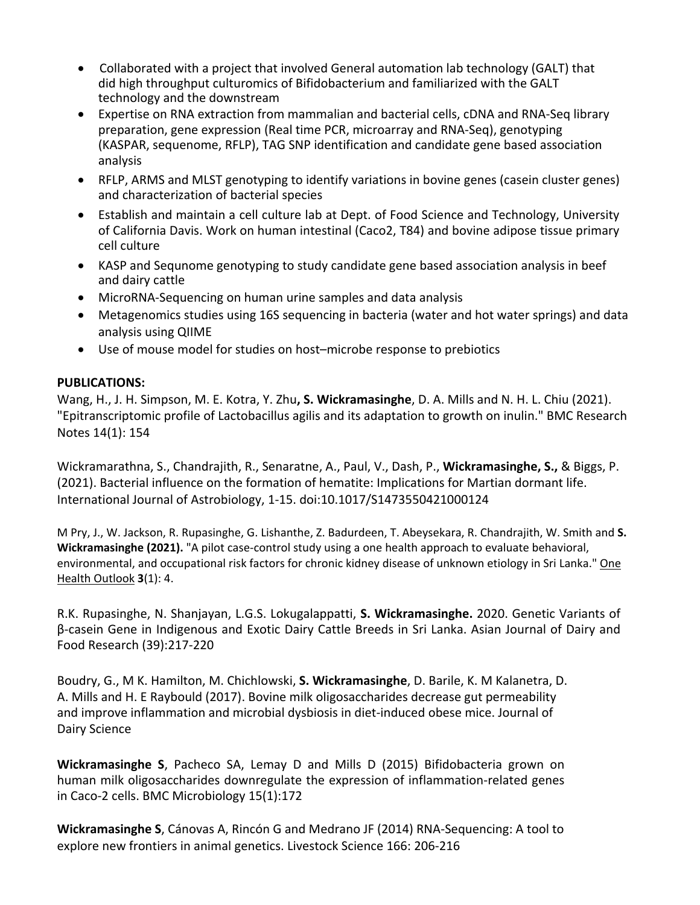- Collaborated with a project that involved General automation lab technology (GALT) that did high throughput culturomics of Bifidobacterium and familiarized with the GALT technology and the downstream
- Expertise on RNA extraction from mammalian and bacterial cells, cDNA and RNA‐Seq library preparation, gene expression (Real time PCR, microarray and RNA‐Seq), genotyping (KASPAR, sequenome, RFLP), TAG SNP identification and candidate gene based association analysis
- RFLP, ARMS and MLST genotyping to identify variations in bovine genes (casein cluster genes) and characterization of bacterial species
- Establish and maintain a cell culture lab at Dept. of Food Science and Technology, University of California Davis. Work on human intestinal (Caco2, T84) and bovine adipose tissue primary cell culture
- KASP and Sequnome genotyping to study candidate gene based association analysis in beef and dairy cattle
- MicroRNA-Sequencing on human urine samples and data analysis
- Metagenomics studies using 16S sequencing in bacteria (water and hot water springs) and data analysis using QIIME
- Use of mouse model for studies on host–microbe response to prebiotics

## **PUBLICATIONS:**

Wang, H., J. H. Simpson, M. E. Kotra, Y. Zhu**, S. Wickramasinghe**, D. A. Mills and N. H. L. Chiu (2021). "Epitranscriptomic profile of Lactobacillus agilis and its adaptation to growth on inulin." BMC Research Notes 14(1): 154

Wickramarathna, S., Chandrajith, R., Senaratne, A., Paul, V., Dash, P., **Wickramasinghe, S.,** & Biggs, P. (2021). Bacterial influence on the formation of hematite: Implications for Martian dormant life. International Journal of Astrobiology, 1‐15. doi:10.1017/S1473550421000124

M Pry, J., W. Jackson, R. Rupasinghe, G. Lishanthe, Z. Badurdeen, T. Abeysekara, R. Chandrajith, W. Smith and **S. Wickramasinghe (2021).** "A pilot case‐control study using a one health approach to evaluate behavioral, environmental, and occupational risk factors for chronic kidney disease of unknown etiology in Sri Lanka." One Health Outlook **3**(1): 4.

R.K. Rupasinghe, N. Shanjayan, L.G.S. Lokugalappatti, **S. Wickramasinghe.** 2020. Genetic Variants of β‐casein Gene in Indigenous and Exotic Dairy Cattle Breeds in Sri Lanka. Asian Journal of Dairy and Food Research (39):217‐220

Boudry, G., M K. Hamilton, M. Chichlowski, **S. Wickramasinghe**, D. Barile, K. M Kalanetra, D. A. Mills and H. E Raybould (2017). Bovine milk oligosaccharides decrease gut permeability and improve inflammation and microbial dysbiosis in diet-induced obese mice. Journal of Dairy Science

**Wickramasinghe S**, Pacheco SA, Lemay D and Mills D (2015) Bifidobacteria grown on human milk oligosaccharides downregulate the expression of inflammation‐related genes in Caco‐2 cells. BMC Microbiology 15(1):172

**Wickramasinghe S**, Cánovas A, Rincón G and Medrano JF (2014) RNA‐Sequencing: A tool to explore new frontiers in animal genetics. Livestock Science 166: 206‐216